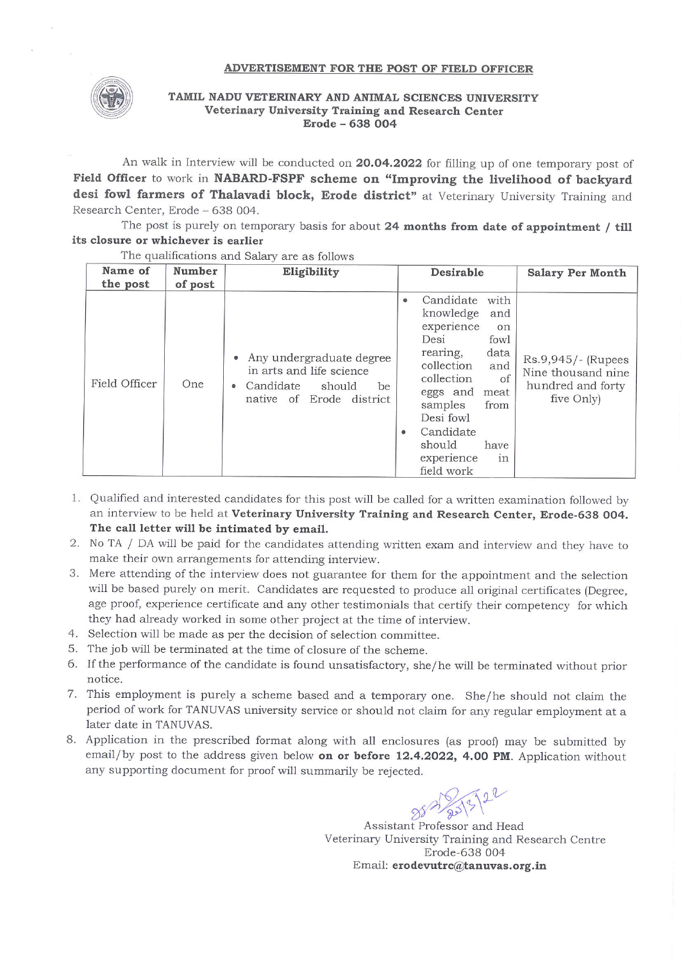## **ADVERTISEMENT FOR THE POST OF FIELD OFFICER**



## **TAMIL NADU VETERINARY AND ANIMAL SCIENCES UNIVERSITY Veterinary University Training and Research Center Erode - 638 004**

An walk in Interview will be conducted on **20.04.2022** for filling up of one temporary post of **Field Officer** to work in **NABARD-FSPF scheme on "Improving the livelihood of backyard**  desi fowl farmers of Thalavadi block, Erode district" at Veterinary University Training and Research Center, Erode - 638 004.

The post is purely on temporary basis for about **24 months from date of appointment / till its closure or whichever is earlier** 

| Name of<br>the post | Number<br>of post | Eligibility                                                                                                                | Desirable                                                                                                                                                                                                                                                                             | <b>Salary Per Month</b>                                                     |
|---------------------|-------------------|----------------------------------------------------------------------------------------------------------------------------|---------------------------------------------------------------------------------------------------------------------------------------------------------------------------------------------------------------------------------------------------------------------------------------|-----------------------------------------------------------------------------|
| Field Officer       | One               | Any undergraduate degree<br>in arts and life science<br>Candidate<br>should<br>be<br>$\bullet$<br>native of Erode district | Candidate<br>with<br>$\bullet$<br>knowledge<br>and<br>experience<br>on<br>Desi<br>fowl<br>data<br>rearing,<br>collection<br>and<br>collection<br>of<br>eggs and<br>meat<br>samples<br>from<br>Desi fowl<br>Candidate<br>$\bullet$<br>should<br>have<br>experience<br>1n<br>field work | Rs.9,945/- (Rupees<br>Nine thousand nine<br>hundred and forty<br>five Only) |

The qualifications and Salary are as follows

- 1. Qualified and interested candidates for this post will be called for a written examination followed by an interview to be held at **Veterinary University Training and Research Center, Erode-638 004. The call letter will be intimated by email.**
- 2 . No TA / DA will be paid for the candidates attending written exam and interview and they have to make their own arrangements for attending interview.
- 3. Mere attending of the interview does not guarantee for them for the appointment and the selection will be based purely on merit. Candidates are requested to produce all original certificates (Degree, age proof, experience certificate and any other testimonials that certify their competency for which they had already worked in some other project at the time of interview.
- 4. Selection will be made as per the decision of selection committee.
- 5. The job will be terminated at the time of closure of the scheme.
- 6. If the performance of the candidate is found unsatisfactory, she/he will be terminated without prior notice.
- 7. This employment is purely a scheme based and a temporary one. She/he should not claim the period of work for TANUVAS university service or should not claim for any regular employment at a later date in TANUVAS.
- 8 . Application in the prescribed format along with all enclosures (as proof) may be submitted by email/by post to the address given below **on or before 12.4.2022, 4.00 PM.** Application without any supporting document for proof will summarily be rejected.

 $887/20\frac{1}{20}$ 

Assistant Professor and Head Veterinary University Training and Research Centre Erode-638 004 Email: **erodevutrc@tanuvas.org.in**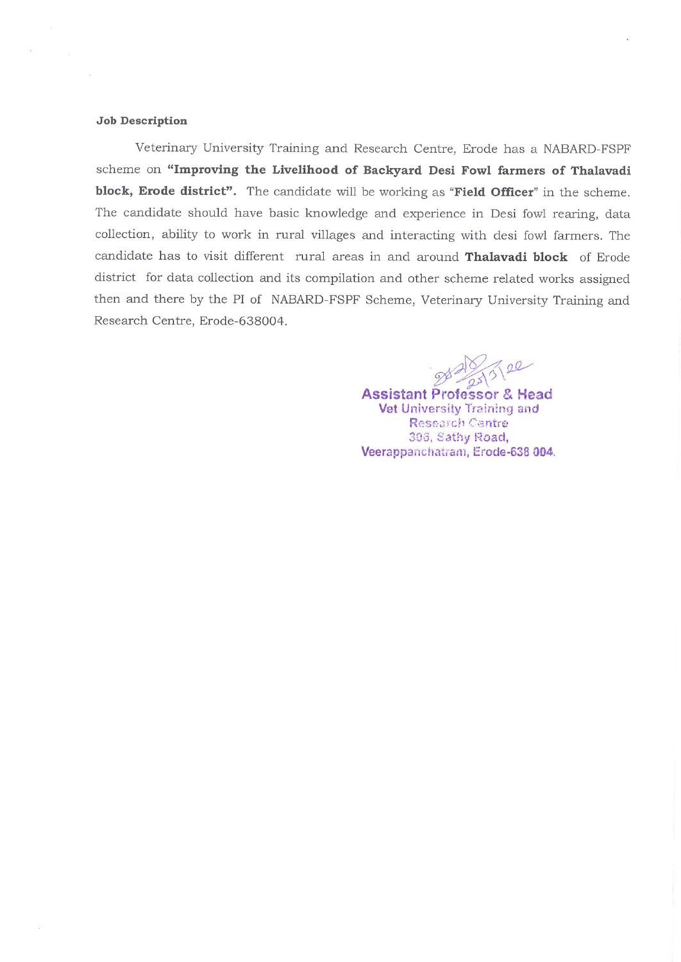## **Job Description**

Veterinary University Training and Research Centre, Erode has a NABARD-FSPF scheme on **"Improving the Livelihood of Backyard Desi Fowl farmers of Thalavadi block, Erode district".** The candidate will be working as **"Field Officer"** in the scheme. The candidate should have basic knowledge and experience in Desi fowl rearing, data collection, ability to work in rural villages and interacting with desi fowl farmers. The candidate has to visit different rural areas in and around **Thalavadi block** of Erode district for data collection and its compilation and other scheme related works assigned then and there by the PI of NABARD-FSPF Scheme, Veterinary University Training and Research Centre, Erode-638004.

 $7522$ 

**Assistant Professor 8" Head Vet** University Train:ng and Research Centre 306, Sathy Road, Veerappanchatram, Erode-638 004.